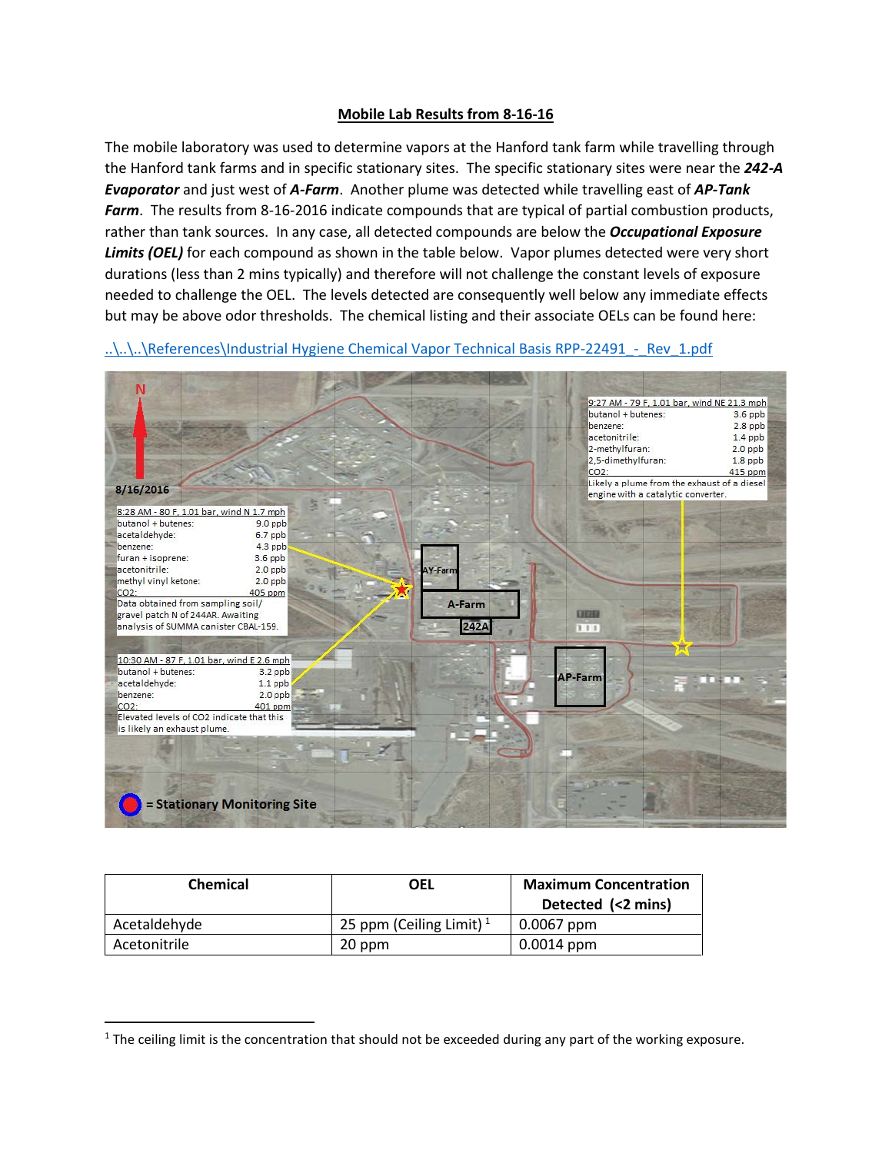## **Mobile Lab Results from 8-16-16**

The mobile laboratory was used to determine vapors at the Hanford tank farm while travelling through the Hanford tank farms and in specific stationary sites. The specific stationary sites were near the *242-A Evaporator* and just west of *A-Farm*. Another plume was detected while travelling east of *AP-Tank Farm*. The results from 8-16-2016 indicate compounds that are typical of partial combustion products, rather than tank sources. In any case, all detected compounds are below the *Occupational Exposure Limits (OEL)* for each compound as shown in the table below. Vapor plumes detected were very short durations (less than 2 mins typically) and therefore will not challenge the constant levels of exposure needed to challenge the OEL. The levels detected are consequently well below any immediate effects but may be above odor thresholds. The chemical listing and their associate OELs can be found here:

..\..\..\References\Industrial Hygiene Chemical Vapor Technical Basis RPP-22491 - Rev\_1.pdf



| <b>Chemical</b> | OEL                                 | <b>Maximum Concentration</b><br>Detected (<2 mins) |
|-----------------|-------------------------------------|----------------------------------------------------|
| Acetaldehyde    | 25 ppm (Ceiling Limit) <sup>1</sup> | 0.0067 ppm                                         |
| Acetonitrile    | 20 ppm                              | $0.0014$ ppm                                       |

<span id="page-0-0"></span> $1$  The ceiling limit is the concentration that should not be exceeded during any part of the working exposure.